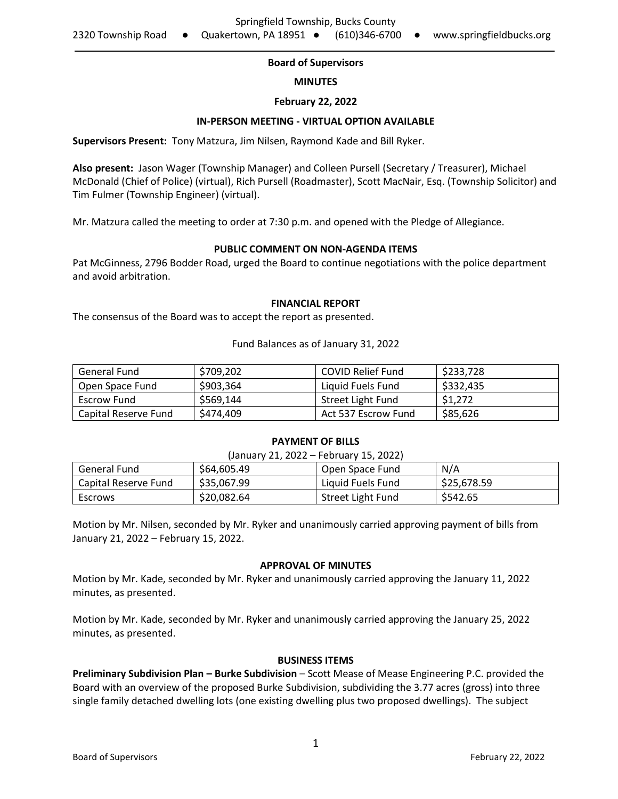# **Board of Supervisors**

## **MINUTES**

## **February 22, 2022**

## **IN-PERSON MEETING - VIRTUAL OPTION AVAILABLE**

**Supervisors Present:** Tony Matzura, Jim Nilsen, Raymond Kade and Bill Ryker.

**Also present:** Jason Wager (Township Manager) and Colleen Pursell (Secretary / Treasurer), Michael McDonald (Chief of Police) (virtual), Rich Pursell (Roadmaster), Scott MacNair, Esq. (Township Solicitor) and Tim Fulmer (Township Engineer) (virtual).

Mr. Matzura called the meeting to order at 7:30 p.m. and opened with the Pledge of Allegiance.

## **PUBLIC COMMENT ON NON-AGENDA ITEMS**

Pat McGinness, 2796 Bodder Road, urged the Board to continue negotiations with the police department and avoid arbitration.

#### **FINANCIAL REPORT**

The consensus of the Board was to accept the report as presented.

Fund Balances as of January 31, 2022

| General Fund         | \$709.202 | COVID Relief Fund   | \$233,728 |
|----------------------|-----------|---------------------|-----------|
| Open Space Fund      | \$903,364 | Liquid Fuels Fund   | \$332,435 |
| Escrow Fund          | \$569.144 | Street Light Fund   | \$1,272   |
| Capital Reserve Fund | \$474,409 | Act 537 Escrow Fund | \$85,626  |

#### **PAYMENT OF BILLS**

| (January 21, 2022 – February 15, 2022) |             |                   |             |  |
|----------------------------------------|-------------|-------------------|-------------|--|
| General Fund                           | \$64,605.49 | Open Space Fund   | N/A         |  |
| Capital Reserve Fund                   | \$35,067.99 | Liquid Fuels Fund | \$25,678.59 |  |
| Escrows                                | \$20,082.64 | Street Light Fund | \$542.65    |  |

Motion by Mr. Nilsen, seconded by Mr. Ryker and unanimously carried approving payment of bills from January 21, 2022 – February 15, 2022.

#### **APPROVAL OF MINUTES**

Motion by Mr. Kade, seconded by Mr. Ryker and unanimously carried approving the January 11, 2022 minutes, as presented.

Motion by Mr. Kade, seconded by Mr. Ryker and unanimously carried approving the January 25, 2022 minutes, as presented.

#### **BUSINESS ITEMS**

**Preliminary Subdivision Plan – Burke Subdivision** – Scott Mease of Mease Engineering P.C. provided the Board with an overview of the proposed Burke Subdivision, subdividing the 3.77 acres (gross) into three single family detached dwelling lots (one existing dwelling plus two proposed dwellings). The subject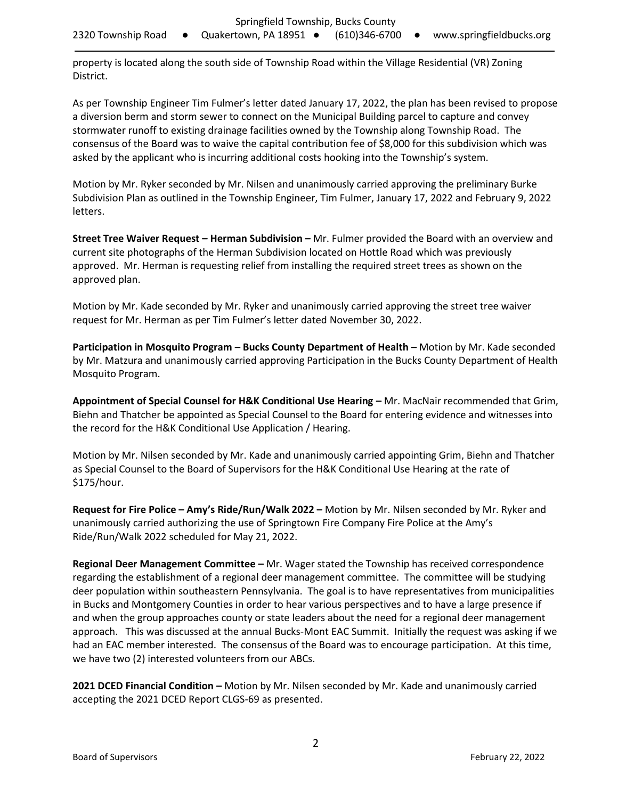property is located along the south side of Township Road within the Village Residential (VR) Zoning District.

As per Township Engineer Tim Fulmer's letter dated January 17, 2022, the plan has been revised to propose a diversion berm and storm sewer to connect on the Municipal Building parcel to capture and convey stormwater runoff to existing drainage facilities owned by the Township along Township Road. The consensus of the Board was to waive the capital contribution fee of \$8,000 for this subdivision which was asked by the applicant who is incurring additional costs hooking into the Township's system.

Motion by Mr. Ryker seconded by Mr. Nilsen and unanimously carried approving the preliminary Burke Subdivision Plan as outlined in the Township Engineer, Tim Fulmer, January 17, 2022 and February 9, 2022 letters.

**Street Tree Waiver Request – Herman Subdivision –** Mr. Fulmer provided the Board with an overview and current site photographs of the Herman Subdivision located on Hottle Road which was previously approved. Mr. Herman is requesting relief from installing the required street trees as shown on the approved plan.

Motion by Mr. Kade seconded by Mr. Ryker and unanimously carried approving the street tree waiver request for Mr. Herman as per Tim Fulmer's letter dated November 30, 2022.

**Participation in Mosquito Program – Bucks County Department of Health –** Motion by Mr. Kade seconded by Mr. Matzura and unanimously carried approving Participation in the Bucks County Department of Health Mosquito Program.

**Appointment of Special Counsel for H&K Conditional Use Hearing –** Mr. MacNair recommended that Grim, Biehn and Thatcher be appointed as Special Counsel to the Board for entering evidence and witnesses into the record for the H&K Conditional Use Application / Hearing.

Motion by Mr. Nilsen seconded by Mr. Kade and unanimously carried appointing Grim, Biehn and Thatcher as Special Counsel to the Board of Supervisors for the H&K Conditional Use Hearing at the rate of \$175/hour.

**Request for Fire Police – Amy's Ride/Run/Walk 2022 –** Motion by Mr. Nilsen seconded by Mr. Ryker and unanimously carried authorizing the use of Springtown Fire Company Fire Police at the Amy's Ride/Run/Walk 2022 scheduled for May 21, 2022.

**Regional Deer Management Committee –** Mr. Wager stated the Township has received correspondence regarding the establishment of a regional deer management committee. The committee will be studying deer population within southeastern Pennsylvania. The goal is to have representatives from municipalities in Bucks and Montgomery Counties in order to hear various perspectives and to have a large presence if and when the group approaches county or state leaders about the need for a regional deer management approach. This was discussed at the annual Bucks-Mont EAC Summit. Initially the request was asking if we had an EAC member interested. The consensus of the Board was to encourage participation. At this time, we have two (2) interested volunteers from our ABCs.

**2021 DCED Financial Condition –** Motion by Mr. Nilsen seconded by Mr. Kade and unanimously carried accepting the 2021 DCED Report CLGS-69 as presented.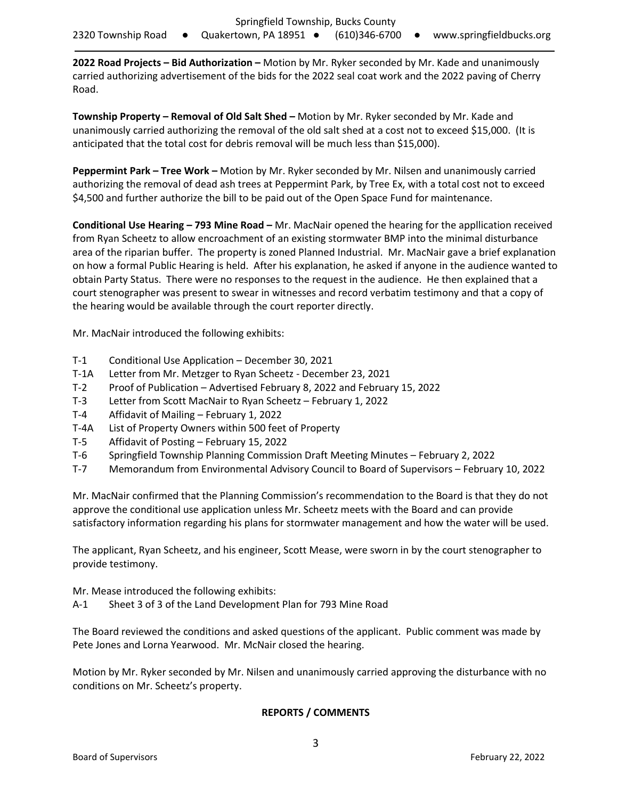**2022 Road Projects – Bid Authorization –** Motion by Mr. Ryker seconded by Mr. Kade and unanimously carried authorizing advertisement of the bids for the 2022 seal coat work and the 2022 paving of Cherry Road.

**Township Property – Removal of Old Salt Shed –** Motion by Mr. Ryker seconded by Mr. Kade and unanimously carried authorizing the removal of the old salt shed at a cost not to exceed \$15,000. (It is anticipated that the total cost for debris removal will be much less than \$15,000).

**Peppermint Park – Tree Work –** Motion by Mr. Ryker seconded by Mr. Nilsen and unanimously carried authorizing the removal of dead ash trees at Peppermint Park, by Tree Ex, with a total cost not to exceed \$4,500 and further authorize the bill to be paid out of the Open Space Fund for maintenance.

**Conditional Use Hearing – 793 Mine Road –** Mr. MacNair opened the hearing for the appllication received from Ryan Scheetz to allow encroachment of an existing stormwater BMP into the minimal disturbance area of the riparian buffer. The property is zoned Planned Industrial. Mr. MacNair gave a brief explanation on how a formal Public Hearing is held. After his explanation, he asked if anyone in the audience wanted to obtain Party Status. There were no responses to the request in the audience. He then explained that a court stenographer was present to swear in witnesses and record verbatim testimony and that a copy of the hearing would be available through the court reporter directly.

Mr. MacNair introduced the following exhibits:

- T-1 Conditional Use Application December 30, 2021
- T-1A Letter from Mr. Metzger to Ryan Scheetz December 23, 2021
- T-2 Proof of Publication Advertised February 8, 2022 and February 15, 2022
- T-3 Letter from Scott MacNair to Ryan Scheetz February 1, 2022
- T-4 Affidavit of Mailing February 1, 2022
- T-4A List of Property Owners within 500 feet of Property
- T-5 Affidavit of Posting February 15, 2022
- T-6 Springfield Township Planning Commission Draft Meeting Minutes February 2, 2022
- T-7 Memorandum from Environmental Advisory Council to Board of Supervisors February 10, 2022

Mr. MacNair confirmed that the Planning Commission's recommendation to the Board is that they do not approve the conditional use application unless Mr. Scheetz meets with the Board and can provide satisfactory information regarding his plans for stormwater management and how the water will be used.

The applicant, Ryan Scheetz, and his engineer, Scott Mease, were sworn in by the court stenographer to provide testimony.

Mr. Mease introduced the following exhibits:

A-1 Sheet 3 of 3 of the Land Development Plan for 793 Mine Road

The Board reviewed the conditions and asked questions of the applicant. Public comment was made by Pete Jones and Lorna Yearwood. Mr. McNair closed the hearing.

Motion by Mr. Ryker seconded by Mr. Nilsen and unanimously carried approving the disturbance with no conditions on Mr. Scheetz's property.

# **REPORTS / COMMENTS**